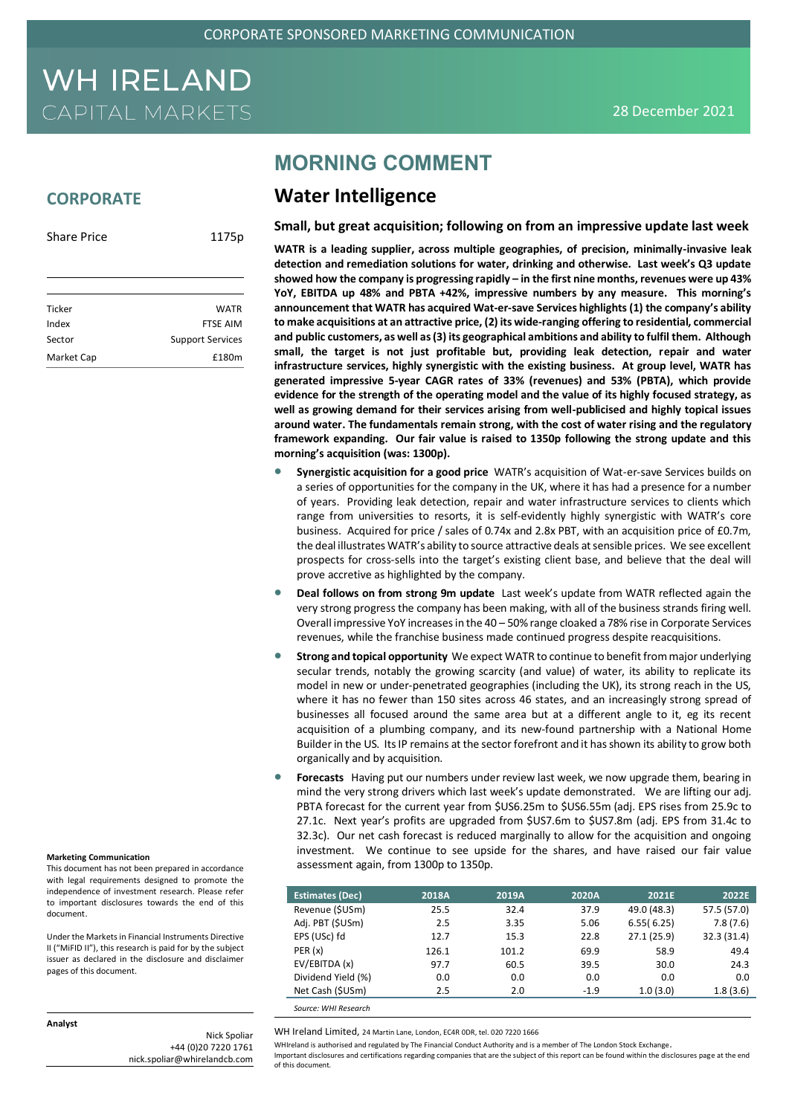### **CORPORATE**

| <b>Share Price</b> | 1175p                   |
|--------------------|-------------------------|
|                    |                         |
|                    |                         |
| Ticker             | <b>WATR</b>             |
| Index              | <b>FTSE AIM</b>         |
| Sector             | <b>Support Services</b> |
| Market Cap         | £180m                   |

### **MORNING COMMENT**

### **Water Intelligence**

**Small, but great acquisition; following on from an impressive update last week**

**WATR is a leading supplier, across multiple geographies, of precision, minimally-invasive leak detection and remediation solutions for water, drinking and otherwise. Last week's Q3 update showed how the company is progressing rapidly – in the first nine months, revenues were up 43% YoY, EBITDA up 48% and PBTA +42%, impressive numbers by any measure. This morning's announcement that WATR has acquired Wat-er-save Services highlights (1) the company's ability to make acquisitions at an attractive price, (2) its wide-ranging offering to residential, commercial and public customers, as well as (3) its geographical ambitions and ability to fulfil them. Although small, the target is not just profitable but, providing leak detection, repair and water infrastructure services, highly synergistic with the existing business. At group level, WATR has generated impressive 5-year CAGR rates of 33% (revenues) and 53% (PBTA), which provide evidence for the strength of the operating model and the value of its highly focused strategy, as well as growing demand for their services arising from well-publicised and highly topical issues around water. The fundamentals remain strong, with the cost of water rising and the regulatory framework expanding. Our fair value is raised to 1350p following the strong update and this morning's acquisition (was: 1300p).**

- **Synergistic acquisition for a good price** WATR's acquisition of Wat-er-save Services builds on a series of opportunities for the company in the UK, where it has had a presence for a number of years. Providing leak detection, repair and water infrastructure services to clients which range from universities to resorts, it is self-evidently highly synergistic with WATR's core business. Acquired for price / sales of 0.74x and 2.8x PBT, with an acquisition price of £0.7m, the deal illustrates WATR's ability to source attractive deals at sensible prices. We see excellent prospects for cross-sells into the target's existing client base, and believe that the deal will prove accretive as highlighted by the company.
- **Deal follows on from strong 9m update** Last week's update from WATR reflected again the very strong progress the company has been making, with all of the business strands firing well. Overall impressive YoY increases in the 40 – 50% range cloaked a 78% rise in Corporate Services revenues, while the franchise business made continued progress despite reacquisitions.
- **Strong and topical opportunity** We expect WATR to continue to benefit from major underlying secular trends, notably the growing scarcity (and value) of water, its ability to replicate its model in new or under-penetrated geographies (including the UK), its strong reach in the US, where it has no fewer than 150 sites across 46 states, and an increasingly strong spread of businesses all focused around the same area but at a different angle to it, eg its recent acquisition of a plumbing company, and its new-found partnership with a National Home Builder in the US. Its IP remains at the sector forefront and it has shown its ability to grow both organically and by acquisition.
- **Forecasts** Having put our numbers under review last week, we now upgrade them, bearing in mind the very strong drivers which last week's update demonstrated. We are lifting our adj. PBTA forecast for the current year from \$US6.25m to \$US6.55m (adj. EPS rises from 25.9c to 27.1c. Next year's profits are upgraded from \$US7.6m to \$US7.8m (adj. EPS from 31.4c to 32.3c). Our net cash forecast is reduced marginally to allow for the acquisition and ongoing investment. We continue to see upside for the shares, and have raised our fair value assessment again, from 1300p to 1350p.

| <b>Estimates (Dec)</b> | 2018A | 2019A | 2020A  | 2021E       | 2022E       |
|------------------------|-------|-------|--------|-------------|-------------|
| Revenue (\$USm)        | 25.5  | 32.4  | 37.9   | 49.0 (48.3) | 57.5 (57.0) |
| Adj. PBT (\$USm)       | 2.5   | 3.35  | 5.06   | 6.55(6.25)  | 7.8(7.6)    |
| EPS (USc) fd           | 12.7  | 15.3  | 22.8   | 27.1(25.9)  | 32.3 (31.4) |
| PER(x)                 | 126.1 | 101.2 | 69.9   | 58.9        | 49.4        |
| EV/EBITDA (x)          | 97.7  | 60.5  | 39.5   | 30.0        | 24.3        |
| Dividend Yield (%)     | 0.0   | 0.0   | 0.0    | 0.0         | 0.0         |
| Net Cash (\$USm)       | 2.5   | 2.0   | $-1.9$ | 1.0(3.0)    | 1.8(3.6)    |
|                        |       |       |        |             |             |

*Source: WHI Research* 

WH Ireland Limited, 24 Martin Lane, London, EC4R 0DR, tel. 020 7220 1666

WHIreland is authorised and regulated by The Financial Conduct Authority and is a member of The London Stock Exchange. Important disclosures and certifications regarding companies that are the subject of this report can be found within the disclosures page at the end of this document.

**Marketing Communication**

This document has not been prepared in accordance with legal requirements designed to promote the independence of investment research. Please refer to important disclosures towards the end of this document.

Under the Markets in Financial Instruments Directive II ("MiFID II"), this research is paid for by the subject issuer as declared in the disclosure and disclaimer pages of this document.

#### **Analyst**

Nick Spoliar +44 (0)20 7220 1761 nick.spoliar@whirelandcb.com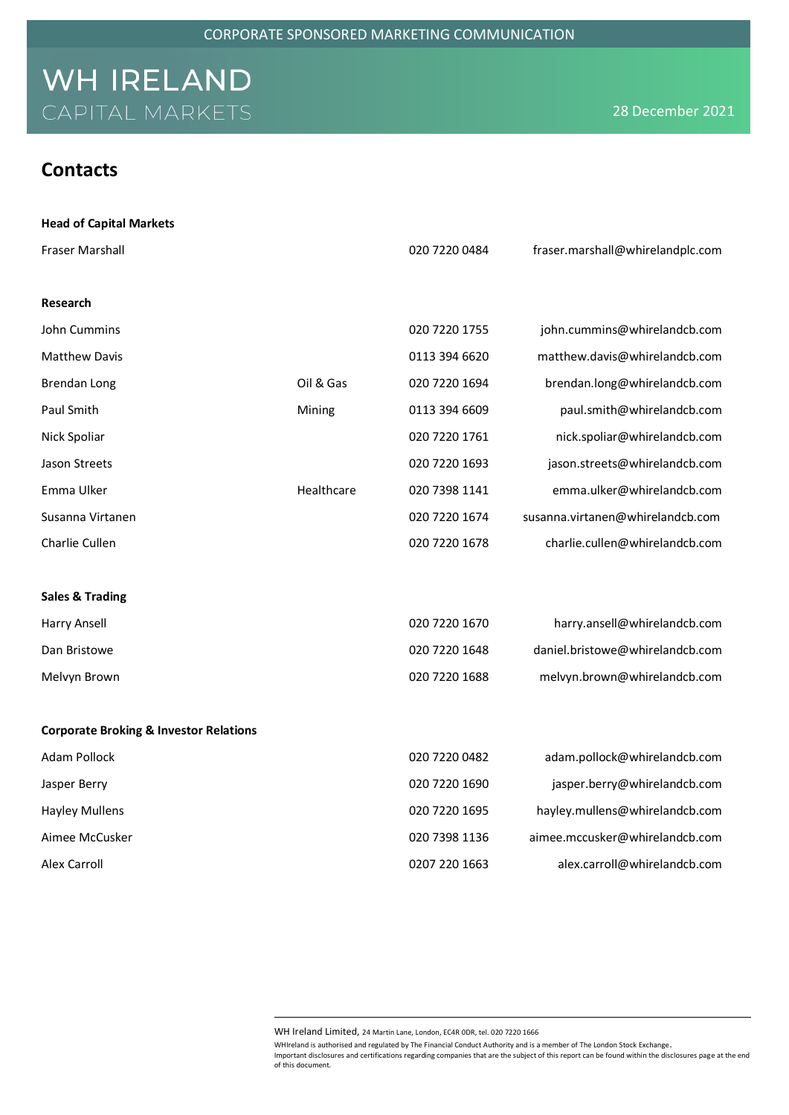| <b>Head of Capital Markets</b> |
|--------------------------------|
|--------------------------------|

| <b>Fraser Marshall</b>                            |            | 020 7220 0484 | fraser.marshall@whirelandplc.com |
|---------------------------------------------------|------------|---------------|----------------------------------|
| Research                                          |            |               |                                  |
| John Cummins                                      |            | 020 7220 1755 | john.cummins@whirelandcb.com     |
| <b>Matthew Davis</b>                              |            | 0113 394 6620 | matthew.davis@whirelandcb.com    |
| <b>Brendan Long</b>                               | Oil & Gas  | 020 7220 1694 | brendan.long@whirelandcb.com     |
| Paul Smith                                        | Mining     | 0113 394 6609 | paul.smith@whirelandcb.com       |
| Nick Spoliar                                      |            | 020 7220 1761 | nick.spoliar@whirelandcb.com     |
| Jason Streets                                     |            | 020 7220 1693 | jason.streets@whirelandcb.com    |
| Emma Ulker                                        | Healthcare | 020 7398 1141 | emma.ulker@whirelandcb.com       |
| Susanna Virtanen                                  |            | 020 7220 1674 | susanna.virtanen@whirelandcb.com |
| Charlie Cullen                                    |            | 020 7220 1678 | charlie.cullen@whirelandcb.com   |
|                                                   |            |               |                                  |
| <b>Sales &amp; Trading</b>                        |            |               |                                  |
| Harry Ansell                                      |            | 020 7220 1670 | harry.ansell@whirelandcb.com     |
| Dan Bristowe                                      |            | 020 7220 1648 | daniel.bristowe@whirelandcb.com  |
| Melvyn Brown                                      |            | 020 7220 1688 | melvyn.brown@whirelandcb.com     |
|                                                   |            |               |                                  |
| <b>Corporate Broking &amp; Investor Relations</b> |            |               |                                  |
| Adam Pollock                                      |            | 020 7220 0482 | adam.pollock@whirelandcb.com     |
| Jasper Berry                                      |            | 020 7220 1690 | jasper.berry@whirelandcb.com     |
| <b>Hayley Mullens</b>                             |            | 020 7220 1695 | hayley.mullens@whirelandcb.com   |
| Aimee McCusker                                    |            | 020 7398 1136 | aimee.mccusker@whirelandcb.com   |
| Alex Carroll                                      |            | 0207 220 1663 | alex.carroll@whirelandcb.com     |

WH Ireland Limited, 24 Martin Lane, London, EC4R 0DR, tel. 020 7220 1666

WHIreland is authorised and regulated by The Financial Conduct Authority and is a member of The London Stock Exchange. Important disclosures and certifications regarding companies that are the subject of this report can be found within the disclosures page at the end of this document.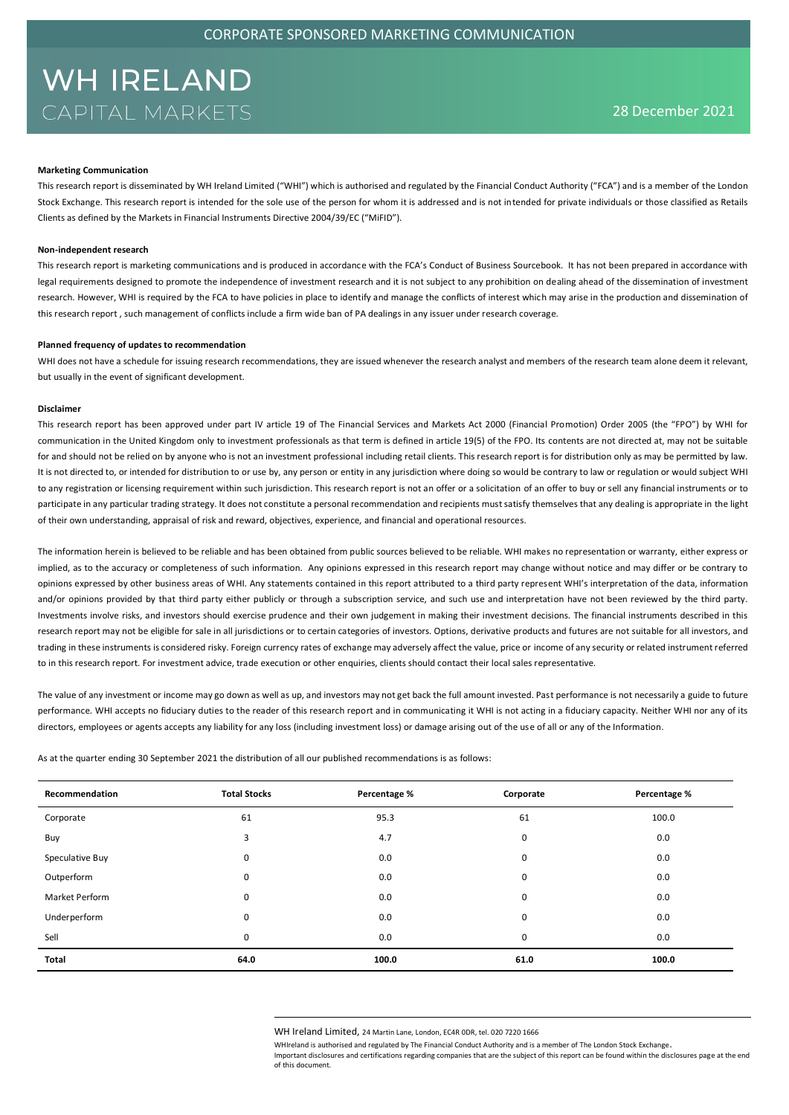#### **Marketing Communication**

This research report is disseminated by WH Ireland Limited ("WHI") which is authorised and regulated by the Financial Conduct Authority ("FCA") and is a member of the London Stock Exchange. This research report is intended for the sole use of the person for whom it is addressed and is not intended for private individuals or those classified as Retails Clients as defined by the Markets in Financial Instruments Directive 2004/39/EC ("MiFID").

#### **Non-independent research**

This research report is marketing communications and is produced in accordance with the FCA's Conduct of Business Sourcebook. It has not been prepared in accordance with legal requirements designed to promote the independence of investment research and it is not subject to any prohibition on dealing ahead of the dissemination of investment research. However, WHI is required by the FCA to have policies in place to identify and manage the conflicts of interest which may arise in the production and dissemination of this research report , such management of conflicts include a firm wide ban of PA dealings in any issuer under research coverage.

#### **Planned frequency of updates to recommendation**

WHI does not have a schedule for issuing research recommendations, they are issued whenever the research analyst and members of the research team alone deem it relevant, but usually in the event of significant development.

#### **Disclaimer**

This research report has been approved under part IV article 19 of The Financial Services and Markets Act 2000 (Financial Promotion) Order 2005 (the "FPO") by WHI for communication in the United Kingdom only to investment professionals as that term is defined in article 19(5) of the FPO. Its contents are not directed at, may not be suitable for and should not be relied on by anyone who is not an investment professional including retail clients. This research report is for distribution only as may be permitted by law. It is not directed to, or intended for distribution to or use by, any person or entity in any jurisdiction where doing so would be contrary to law or regulation or would subject WHI to any registration or licensing requirement within such jurisdiction. This research report is not an offer or a solicitation of an offer to buy or sell any financial instruments or to participate in any particular trading strategy. It does not constitute a personal recommendation and recipients must satisfy themselves that any dealing is appropriate in the light of their own understanding, appraisal of risk and reward, objectives, experience, and financial and operational resources.

The information herein is believed to be reliable and has been obtained from public sources believed to be reliable. WHI makes no representation or warranty, either express or implied, as to the accuracy or completeness of such information. Any opinions expressed in this research report may change without notice and may differ or be contrary to opinions expressed by other business areas of WHI. Any statements contained in this report attributed to a third party represent WHI's interpretation of the data, information and/or opinions provided by that third party either publicly or through a subscription service, and such use and interpretation have not been reviewed by the third party. Investments involve risks, and investors should exercise prudence and their own judgement in making their investment decisions. The financial instruments described in this research report may not be eligible for sale in all jurisdictions or to certain categories of investors. Options, derivative products and futures are not suitable for all investors, and trading in these instruments is considered risky. Foreign currency rates of exchange may adversely affect the value, price or income of any security or related instrument referred to in this research report. For investment advice, trade execution or other enquiries, clients should contact their local sales representative.

The value of any investment or income may go down as well as up, and investors may not get back the full amount invested. Past performance is not necessarily a guide to future performance. WHI accepts no fiduciary duties to the reader of this research report and in communicating it WHI is not acting in a fiduciary capacity. Neither WHI nor any of its directors, employees or agents accepts any liability for any loss (including investment loss) or damage arising out of the use of all or any of the Information.

As at the quarter ending 30 September 2021 the distribution of all our published recommendations is as follows:

| Recommendation  | <b>Total Stocks</b> | Percentage % | Corporate | Percentage % |
|-----------------|---------------------|--------------|-----------|--------------|
| Corporate       | 61                  | 95.3         | 61        | 100.0        |
| Buy             | 3                   | 4.7          | 0         | 0.0          |
| Speculative Buy | 0                   | 0.0          | 0         | 0.0          |
| Outperform      | 0                   | 0.0          | 0         | 0.0          |
| Market Perform  | 0                   | 0.0          | 0         | 0.0          |
| Underperform    | 0                   | 0.0          | 0         | 0.0          |
| Sell            | 0                   | 0.0          | 0         | 0.0          |
| Total           | 64.0                | 100.0        | 61.0      | 100.0        |

WH Ireland Limited, 24 Martin Lane, London, EC4R 0DR, tel. 020 7220 1666

WHIreland is authorised and regulated by The Financial Conduct Authority and is a member of The London Stock Exchange. Important disclosures and certifications regarding companies that are the subject of this report can be found within the disclosures page at the end of this document.